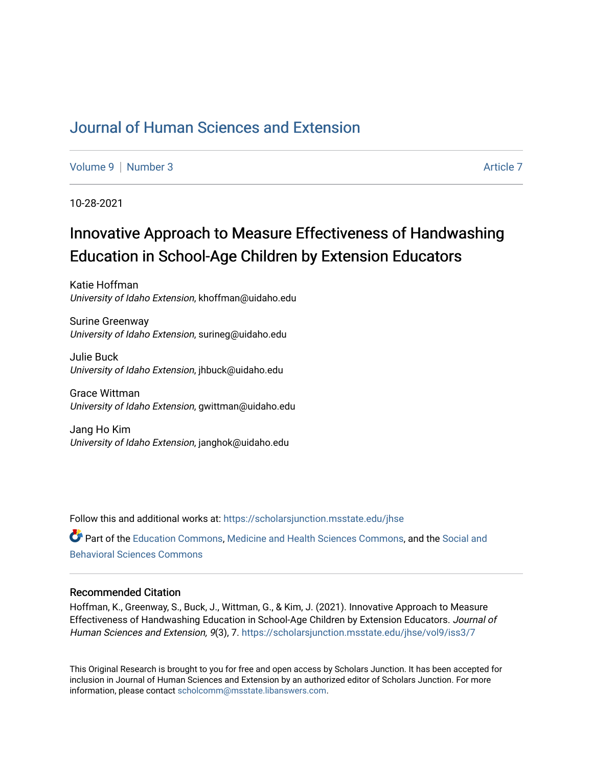## [Journal of Human Sciences and Extension](https://scholarsjunction.msstate.edu/jhse)

[Volume 9](https://scholarsjunction.msstate.edu/jhse/vol9) | [Number 3](https://scholarsjunction.msstate.edu/jhse/vol9/iss3) Article 7

10-28-2021

# Innovative Approach to Measure Effectiveness of Handwashing Education in School-Age Children by Extension Educators

Katie Hoffman University of Idaho Extension, khoffman@uidaho.edu

Surine Greenway University of Idaho Extension, surineg@uidaho.edu

Julie Buck University of Idaho Extension, jhbuck@uidaho.edu

Grace Wittman University of Idaho Extension, gwittman@uidaho.edu

Jang Ho Kim University of Idaho Extension, janghok@uidaho.edu

Follow this and additional works at: [https://scholarsjunction.msstate.edu/jhse](https://scholarsjunction.msstate.edu/jhse?utm_source=scholarsjunction.msstate.edu%2Fjhse%2Fvol9%2Fiss3%2F7&utm_medium=PDF&utm_campaign=PDFCoverPages) Part of the [Education Commons](http://network.bepress.com/hgg/discipline/784?utm_source=scholarsjunction.msstate.edu%2Fjhse%2Fvol9%2Fiss3%2F7&utm_medium=PDF&utm_campaign=PDFCoverPages), [Medicine and Health Sciences Commons,](http://network.bepress.com/hgg/discipline/648?utm_source=scholarsjunction.msstate.edu%2Fjhse%2Fvol9%2Fiss3%2F7&utm_medium=PDF&utm_campaign=PDFCoverPages) and the [Social and](http://network.bepress.com/hgg/discipline/316?utm_source=scholarsjunction.msstate.edu%2Fjhse%2Fvol9%2Fiss3%2F7&utm_medium=PDF&utm_campaign=PDFCoverPages) [Behavioral Sciences Commons](http://network.bepress.com/hgg/discipline/316?utm_source=scholarsjunction.msstate.edu%2Fjhse%2Fvol9%2Fiss3%2F7&utm_medium=PDF&utm_campaign=PDFCoverPages) 

#### Recommended Citation

Hoffman, K., Greenway, S., Buck, J., Wittman, G., & Kim, J. (2021). Innovative Approach to Measure Effectiveness of Handwashing Education in School-Age Children by Extension Educators. Journal of Human Sciences and Extension, 9(3), 7. [https://scholarsjunction.msstate.edu/jhse/vol9/iss3/7](https://scholarsjunction.msstate.edu/jhse/vol9/iss3/7?utm_source=scholarsjunction.msstate.edu%2Fjhse%2Fvol9%2Fiss3%2F7&utm_medium=PDF&utm_campaign=PDFCoverPages)

This Original Research is brought to you for free and open access by Scholars Junction. It has been accepted for inclusion in Journal of Human Sciences and Extension by an authorized editor of Scholars Junction. For more information, please contact [scholcomm@msstate.libanswers.com](mailto:scholcomm@msstate.libanswers.com).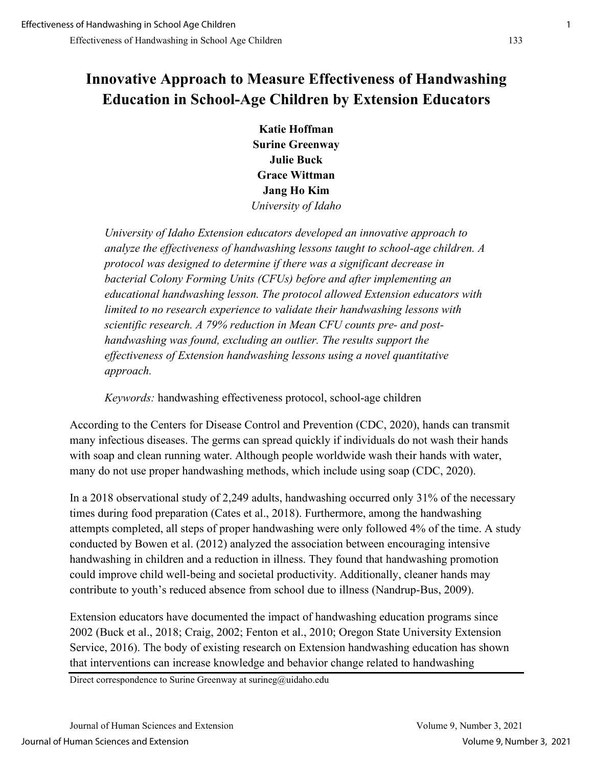## **Innovative Approach to Measure Effectiveness of Handwashing Education in School-Age Children by Extension Educators**

**Katie Hoffman Surine Greenway Julie Buck Grace Wittman Jang Ho Kim** *University of Idaho* 

*University of Idaho Extension educators developed an innovative approach to analyze the effectiveness of handwashing lessons taught to school-age children. A protocol was designed to determine if there was a significant decrease in bacterial Colony Forming Units (CFUs) before and after implementing an educational handwashing lesson. The protocol allowed Extension educators with limited to no research experience to validate their handwashing lessons with scientific research. A 79% reduction in Mean CFU counts pre- and posthandwashing was found, excluding an outlier. The results support the effectiveness of Extension handwashing lessons using a novel quantitative approach.* 

*Keywords:* handwashing effectiveness protocol, school-age children

According to the Centers for Disease Control and Prevention (CDC, 2020), hands can transmit many infectious diseases. The germs can spread quickly if individuals do not wash their hands with soap and clean running water. Although people worldwide wash their hands with water, many do not use proper handwashing methods, which include using soap (CDC, 2020).

In a 2018 observational study of 2,249 adults, handwashing occurred only 31% of the necessary times during food preparation (Cates et al., 2018). Furthermore, among the handwashing attempts completed, all steps of proper handwashing were only followed 4% of the time. A study conducted by Bowen et al. (2012) analyzed the association between encouraging intensive handwashing in children and a reduction in illness. They found that handwashing promotion could improve child well-being and societal productivity. Additionally, cleaner hands may contribute to youth's reduced absence from school due to illness (Nandrup-Bus, 2009).

Extension educators have documented the impact of handwashing education programs since 2002 (Buck et al., 2018; Craig, 2002; Fenton et al., 2010; Oregon State University Extension Service, 2016). The body of existing research on Extension handwashing education has shown that interventions can increase knowledge and behavior change related to handwashing

Direct correspondence to Surine Greenway at surineg@uidaho.edu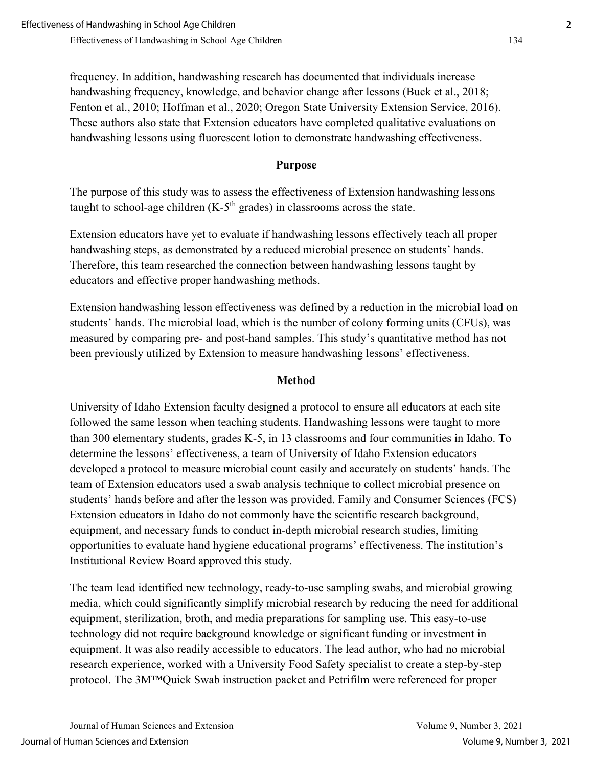frequency. In addition, handwashing research has documented that individuals increase handwashing frequency, knowledge, and behavior change after lessons (Buck et al., 2018; Fenton et al., 2010; Hoffman et al., 2020; Oregon State University Extension Service, 2016). These authors also state that Extension educators have completed qualitative evaluations on handwashing lessons using fluorescent lotion to demonstrate handwashing effectiveness.

#### **Purpose**

The purpose of this study was to assess the effectiveness of Extension handwashing lessons taught to school-age children  $(K-5<sup>th</sup>$  grades) in classrooms across the state.

Extension educators have yet to evaluate if handwashing lessons effectively teach all proper handwashing steps, as demonstrated by a reduced microbial presence on students' hands. Therefore, this team researched the connection between handwashing lessons taught by educators and effective proper handwashing methods.

Extension handwashing lesson effectiveness was defined by a reduction in the microbial load on students' hands. The microbial load, which is the number of colony forming units (CFUs), was measured by comparing pre- and post-hand samples. This study's quantitative method has not been previously utilized by Extension to measure handwashing lessons' effectiveness.

#### **Method**

University of Idaho Extension faculty designed a protocol to ensure all educators at each site followed the same lesson when teaching students. Handwashing lessons were taught to more than 300 elementary students, grades K-5, in 13 classrooms and four communities in Idaho. To determine the lessons' effectiveness, a team of University of Idaho Extension educators developed a protocol to measure microbial count easily and accurately on students' hands. The team of Extension educators used a swab analysis technique to collect microbial presence on students' hands before and after the lesson was provided. Family and Consumer Sciences (FCS) Extension educators in Idaho do not commonly have the scientific research background, equipment, and necessary funds to conduct in-depth microbial research studies, limiting opportunities to evaluate hand hygiene educational programs' effectiveness. The institution's Institutional Review Board approved this study.

The team lead identified new technology, ready-to-use sampling swabs, and microbial growing media, which could significantly simplify microbial research by reducing the need for additional equipment, sterilization, broth, and media preparations for sampling use. This easy-to-use technology did not require background knowledge or significant funding or investment in equipment. It was also readily accessible to educators. The lead author, who had no microbial research experience, worked with a University Food Safety specialist to create a step-by-step protocol. The 3M™Quick Swab instruction packet and Petrifilm were referenced for proper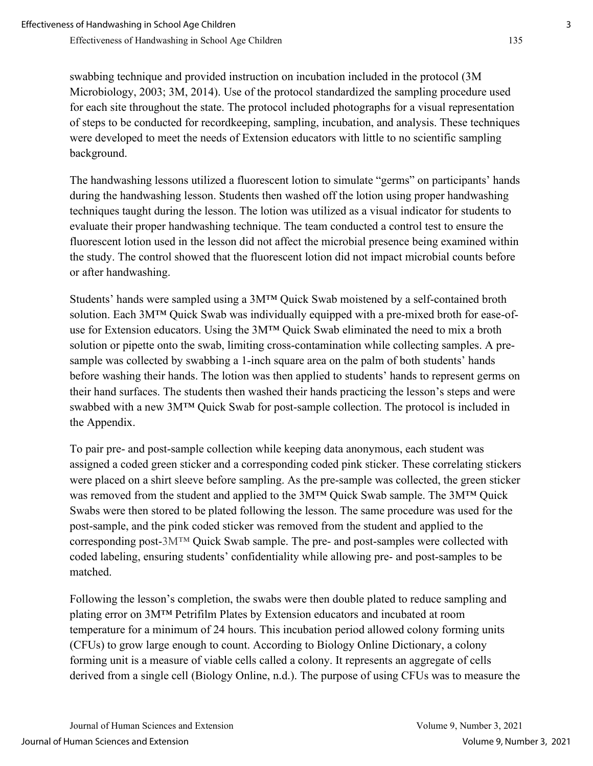swabbing technique and provided instruction on incubation included in the protocol (3M Microbiology, 2003; 3M, 2014). Use of the protocol standardized the sampling procedure used for each site throughout the state. The protocol included photographs for a visual representation of steps to be conducted for recordkeeping, sampling, incubation, and analysis. These techniques were developed to meet the needs of Extension educators with little to no scientific sampling background.

The handwashing lessons utilized a fluorescent lotion to simulate "germs" on participants' hands during the handwashing lesson. Students then washed off the lotion using proper handwashing techniques taught during the lesson. The lotion was utilized as a visual indicator for students to evaluate their proper handwashing technique. The team conducted a control test to ensure the fluorescent lotion used in the lesson did not affect the microbial presence being examined within the study. The control showed that the fluorescent lotion did not impact microbial counts before or after handwashing.

Students' hands were sampled using a 3M™ Quick Swab moistened by a self-contained broth solution. Each 3M™ Quick Swab was individually equipped with a pre-mixed broth for ease-ofuse for Extension educators. Using the 3M™ Quick Swab eliminated the need to mix a broth solution or pipette onto the swab, limiting cross-contamination while collecting samples. A presample was collected by swabbing a 1-inch square area on the palm of both students' hands before washing their hands. The lotion was then applied to students' hands to represent germs on their hand surfaces. The students then washed their hands practicing the lesson's steps and were swabbed with a new 3M™ Quick Swab for post-sample collection. The protocol is included in the Appendix.

To pair pre- and post-sample collection while keeping data anonymous, each student was assigned a coded green sticker and a corresponding coded pink sticker. These correlating stickers were placed on a shirt sleeve before sampling. As the pre-sample was collected, the green sticker was removed from the student and applied to the 3M™ Quick Swab sample. The 3M™ Quick Swabs were then stored to be plated following the lesson. The same procedure was used for the post-sample, and the pink coded sticker was removed from the student and applied to the corresponding post-3M<sup>™</sup> Quick Swab sample. The pre- and post-samples were collected with coded labeling, ensuring students' confidentiality while allowing pre- and post-samples to be matched.

Following the lesson's completion, the swabs were then double plated to reduce sampling and plating error on 3M™ Petrifilm Plates by Extension educators and incubated at room temperature for a minimum of 24 hours. This incubation period allowed colony forming units (CFUs) to grow large enough to count. According to Biology Online Dictionary, a colony forming unit is a measure of viable cells called a colony. It represents an aggregate of cells derived from a single cell (Biology Online, n.d.). The purpose of using CFUs was to measure the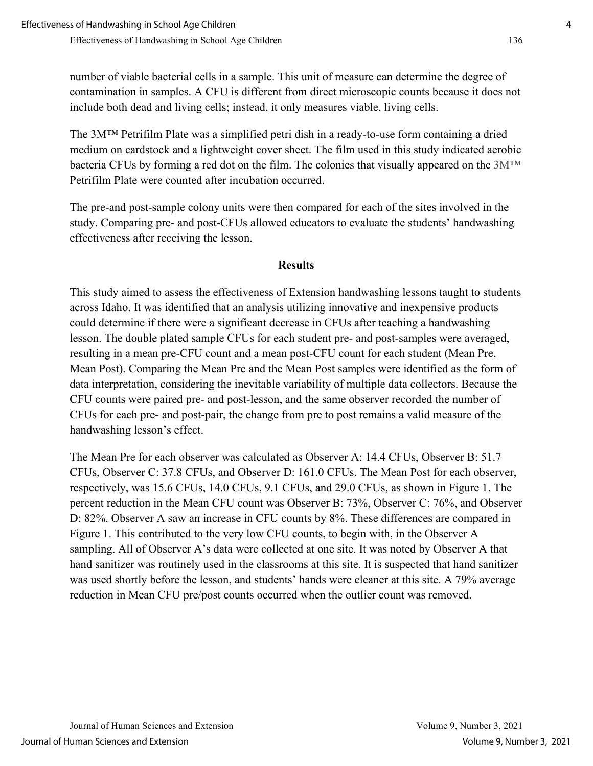number of viable bacterial cells in a sample. This unit of measure can determine the degree of contamination in samples. A CFU is different from direct microscopic counts because it does not include both dead and living cells; instead, it only measures viable, living cells.

The 3M™ Petrifilm Plate was a simplified petri dish in a ready-to-use form containing a dried medium on cardstock and a lightweight cover sheet. The film used in this study indicated aerobic bacteria CFUs by forming a red dot on the film. The colonies that visually appeared on the 3M™ Petrifilm Plate were counted after incubation occurred.

The pre-and post-sample colony units were then compared for each of the sites involved in the study. Comparing pre- and post-CFUs allowed educators to evaluate the students' handwashing effectiveness after receiving the lesson.

#### **Results**

This study aimed to assess the effectiveness of Extension handwashing lessons taught to students across Idaho. It was identified that an analysis utilizing innovative and inexpensive products could determine if there were a significant decrease in CFUs after teaching a handwashing lesson. The double plated sample CFUs for each student pre- and post-samples were averaged, resulting in a mean pre-CFU count and a mean post-CFU count for each student (Mean Pre, Mean Post). Comparing the Mean Pre and the Mean Post samples were identified as the form of data interpretation, considering the inevitable variability of multiple data collectors. Because the CFU counts were paired pre- and post-lesson, and the same observer recorded the number of CFUs for each pre- and post-pair, the change from pre to post remains a valid measure of the handwashing lesson's effect.

The Mean Pre for each observer was calculated as Observer A: 14.4 CFUs, Observer B: 51.7 CFUs, Observer C: 37.8 CFUs, and Observer D: 161.0 CFUs. The Mean Post for each observer, respectively, was 15.6 CFUs, 14.0 CFUs, 9.1 CFUs, and 29.0 CFUs, as shown in Figure 1. The percent reduction in the Mean CFU count was Observer B: 73%, Observer C: 76%, and Observer D: 82%. Observer A saw an increase in CFU counts by 8%. These differences are compared in Figure 1. This contributed to the very low CFU counts, to begin with, in the Observer A sampling. All of Observer A's data were collected at one site. It was noted by Observer A that hand sanitizer was routinely used in the classrooms at this site. It is suspected that hand sanitizer was used shortly before the lesson, and students' hands were cleaner at this site. A 79% average reduction in Mean CFU pre/post counts occurred when the outlier count was removed.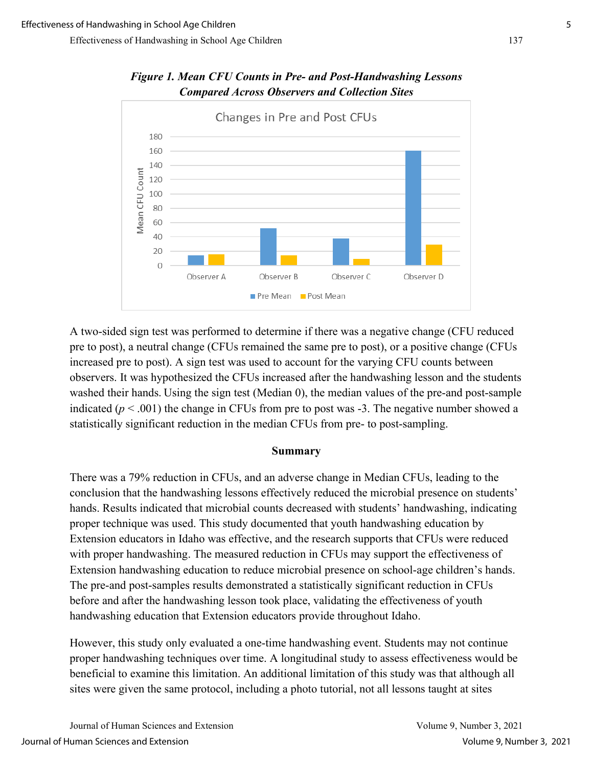

*Figure 1. Mean CFU Counts in Pre- and Post-Handwashing Lessons Compared Across Observers and Collection Sites*

A two-sided sign test was performed to determine if there was a negative change (CFU reduced pre to post), a neutral change (CFUs remained the same pre to post), or a positive change (CFUs increased pre to post). A sign test was used to account for the varying CFU counts between observers. It was hypothesized the CFUs increased after the handwashing lesson and the students washed their hands. Using the sign test (Median 0), the median values of the pre-and post-sample indicated  $(p < .001)$  the change in CFUs from pre to post was  $-3$ . The negative number showed a statistically significant reduction in the median CFUs from pre- to post-sampling.

#### **Summary**

There was a 79% reduction in CFUs, and an adverse change in Median CFUs, leading to the conclusion that the handwashing lessons effectively reduced the microbial presence on students' hands. Results indicated that microbial counts decreased with students' handwashing, indicating proper technique was used. This study documented that youth handwashing education by Extension educators in Idaho was effective, and the research supports that CFUs were reduced with proper handwashing. The measured reduction in CFUs may support the effectiveness of Extension handwashing education to reduce microbial presence on school-age children's hands. The pre-and post-samples results demonstrated a statistically significant reduction in CFUs before and after the handwashing lesson took place, validating the effectiveness of youth handwashing education that Extension educators provide throughout Idaho.

However, this study only evaluated a one-time handwashing event. Students may not continue proper handwashing techniques over time. A longitudinal study to assess effectiveness would be beneficial to examine this limitation. An additional limitation of this study was that although all sites were given the same protocol, including a photo tutorial, not all lessons taught at sites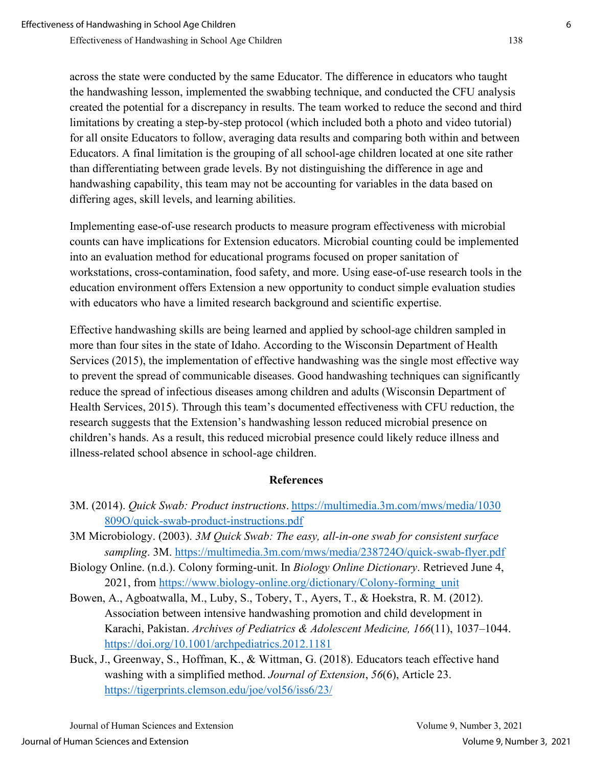across the state were conducted by the same Educator. The difference in educators who taught the handwashing lesson, implemented the swabbing technique, and conducted the CFU analysis created the potential for a discrepancy in results. The team worked to reduce the second and third limitations by creating a step-by-step protocol (which included both a photo and video tutorial) for all onsite Educators to follow, averaging data results and comparing both within and between Educators. A final limitation is the grouping of all school-age children located at one site rather than differentiating between grade levels. By not distinguishing the difference in age and handwashing capability, this team may not be accounting for variables in the data based on differing ages, skill levels, and learning abilities.

Implementing ease-of-use research products to measure program effectiveness with microbial counts can have implications for Extension educators. Microbial counting could be implemented into an evaluation method for educational programs focused on proper sanitation of workstations, cross-contamination, food safety, and more. Using ease-of-use research tools in the education environment offers Extension a new opportunity to conduct simple evaluation studies with educators who have a limited research background and scientific expertise.

Effective handwashing skills are being learned and applied by school-age children sampled in more than four sites in the state of Idaho. According to the Wisconsin Department of Health Services (2015), the implementation of effective handwashing was the single most effective way to prevent the spread of communicable diseases. Good handwashing techniques can significantly reduce the spread of infectious diseases among children and adults (Wisconsin Department of Health Services, 2015). Through this team's documented effectiveness with CFU reduction, the research suggests that the Extension's handwashing lesson reduced microbial presence on children's hands. As a result, this reduced microbial presence could likely reduce illness and illness-related school absence in school-age children.

## **References**

- 3M. (2014). *Quick Swab: Product instructions*. [https://multimedia.3m.com/mws/media/1030](https://multimedia.3m.com/mws/media/1030809O/quick-swab-product-instructions.pdf) [809O/quick-swab-product-instructions.pdf](https://multimedia.3m.com/mws/media/1030809O/quick-swab-product-instructions.pdf)
- 3M Microbiology. (2003). *3M Quick Swab: The easy, all-in-one swab for consistent surface sampling*. 3M.<https://multimedia.3m.com/mws/media/238724O/quick-swab-flyer.pdf>
- Biology Online. (n.d.). Colony forming-unit. In *Biology Online Dictionary*. Retrieved June 4, 2021, from [https://www.biology-online.org/dictionary/Colony-forming\\_unit](https://www.biology-online.org/dictionary/Colony-forming_unit)
- Bowen, A., Agboatwalla, M., Luby, S., Tobery, T., Ayers, T., & Hoekstra, R. M. (2012). Association between intensive handwashing promotion and child development in Karachi, Pakistan. *Archives of Pediatrics & Adolescent Medicine, 166*(11), 1037–1044. <https://doi.org/10.1001/archpediatrics.2012.1181>
- Buck, J., Greenway, S., Hoffman, K., & Wittman, G. (2018). Educators teach effective hand washing with a simplified method. *Journal of Extension*, *56*(6), Article 23. <https://tigerprints.clemson.edu/joe/vol56/iss6/23/>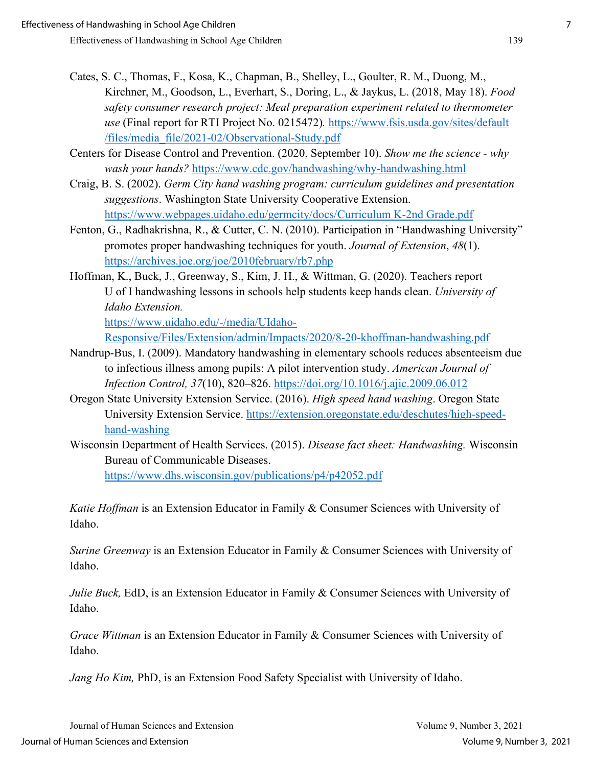- Cates, S. C., Thomas, F., Kosa, K., Chapman, B., Shelley, L., Goulter, R. M., Duong, M., Kirchner, M., Goodson, L., Everhart, S., Doring, L., & Jaykus, L. (2018, May 18). *Food safety consumer research project: Meal preparation experiment related to thermometer use* (Final report for RTI Project No. 0215472)*.* [https://www.fsis.usda.gov/sites/default](https://www.fsis.usda.gov/sites/default/files/media_file/2021-02/Observational-Study.pdf)  [/files/media\\_file/2021-02/Observational-Study.pdf](https://www.fsis.usda.gov/sites/default/files/media_file/2021-02/Observational-Study.pdf)
- Centers for Disease Control and Prevention. (2020, September 10). *Show me the science why wash your hands?* <https://www.cdc.gov/handwashing/why-handwashing.html>
- Craig, B. S. (2002). *Germ City hand washing program: curriculum guidelines and presentation suggestions*. Washington State University Cooperative Extension. [https://www.webpages.uidaho.edu/germcity/docs/Curriculum K-2nd Grade.pdf](https://www.webpages.uidaho.edu/germcity/docs/Curriculum%20K-2nd%20Grade.pdf)
- Fenton, G., Radhakrishna, R., & Cutter, C. N. (2010). Participation in "Handwashing University" promotes proper handwashing techniques for youth. *Journal of Extension*, *48*(1). <https://archives.joe.org/joe/2010february/rb7.php>
- Hoffman, K., Buck, J., Greenway, S., Kim, J. H., & Wittman, G. (2020). Teachers report U of I handwashing lessons in schools help students keep hands clean. *University of Idaho Extension.*

[https://www.uidaho.edu/-/media/UIdaho-](https://www.uidaho.edu/-/media/UIdaho-Responsive/Files/Extension/admin/Impacts/2020/8-20-khoffman-handwashing.pdf)

[Responsive/Files/Extension/admin/Impacts/2020/8-20-khoffman-handwashing.pdf](https://www.uidaho.edu/-/media/UIdaho-Responsive/Files/Extension/admin/Impacts/2020/8-20-khoffman-handwashing.pdf)

- Nandrup-Bus, I. (2009). Mandatory handwashing in elementary schools reduces absenteeism due to infectious illness among pupils: A pilot intervention study. *American Journal of Infection Control, 37*(10), 820–826.<https://doi.org/10.1016/j.ajic.2009.06.012>
- Oregon State University Extension Service. (2016). *High speed hand washing*. Oregon State University Extension Service. [https://extension.oregonstate.edu/deschutes/high-speed](https://extension.oregonstate.edu/deschutes/high-speed-hand-washing)[hand-washing](https://extension.oregonstate.edu/deschutes/high-speed-hand-washing)
- Wisconsin Department of Health Services. (2015). *Disease fact sheet: Handwashing.* Wisconsin Bureau of Communicable Diseases. <https://www.dhs.wisconsin.gov/publications/p4/p42052.pdf>

*Katie Hoffman* is an Extension Educator in Family & Consumer Sciences with University of Idaho.

*Surine Greenway* is an Extension Educator in Family & Consumer Sciences with University of Idaho.

*Julie Buck,* EdD, is an Extension Educator in Family & Consumer Sciences with University of Idaho.

*Grace Wittman* is an Extension Educator in Family & Consumer Sciences with University of Idaho.

*Jang Ho Kim,* PhD, is an Extension Food Safety Specialist with University of Idaho.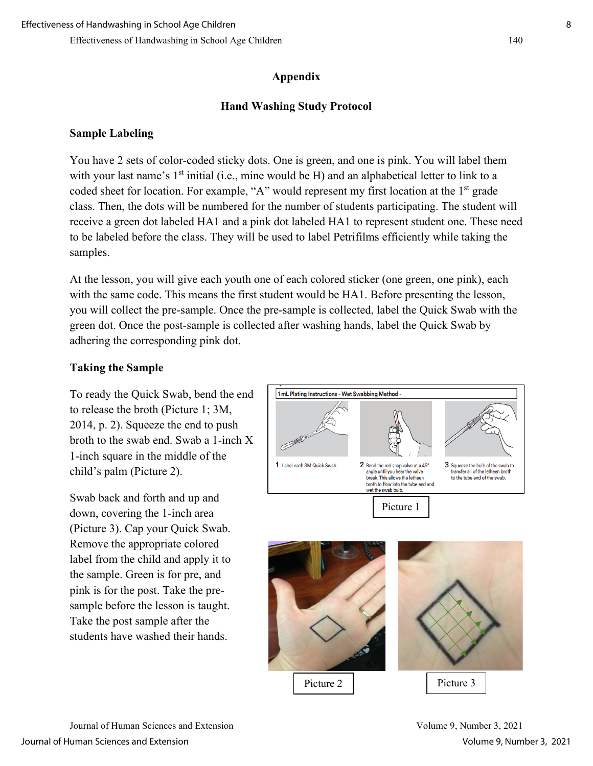### **Appendix**

### **Hand Washing Study Protocol**

### **Sample Labeling**

You have 2 sets of color-coded sticky dots. One is green, and one is pink. You will label them with your last name's  $1<sup>st</sup>$  initial (i.e., mine would be H) and an alphabetical letter to link to a coded sheet for location. For example, "A" would represent my first location at the  $1<sup>st</sup>$  grade class. Then, the dots will be numbered for the number of students participating. The student will receive a green dot labeled HA1 and a pink dot labeled HA1 to represent student one. These need to be labeled before the class. They will be used to label Petrifilms efficiently while taking the samples.

At the lesson, you will give each youth one of each colored sticker (one green, one pink), each with the same code. This means the first student would be HA1. Before presenting the lesson, you will collect the pre-sample. Once the pre-sample is collected, label the Quick Swab with the green dot. Once the post-sample is collected after washing hands, label the Quick Swab by adhering the corresponding pink dot.

#### **Taking the Sample**

To ready the Quick Swab, bend the end to release the broth (Picture 1; 3M, 2014, p. 2). Squeeze the end to push broth to the swab end. Swab a 1-inch X 1-inch square in the middle of the child's palm (Picture 2).

Swab back and forth and up and down, covering the 1-inch area (Picture 3). Cap your Quick Swab. Remove the appropriate colored label from the child and apply it to the sample. Green is for pre, and pink is for the post. Take the presample before the lesson is taught. Take the post sample after the students have washed their hands.